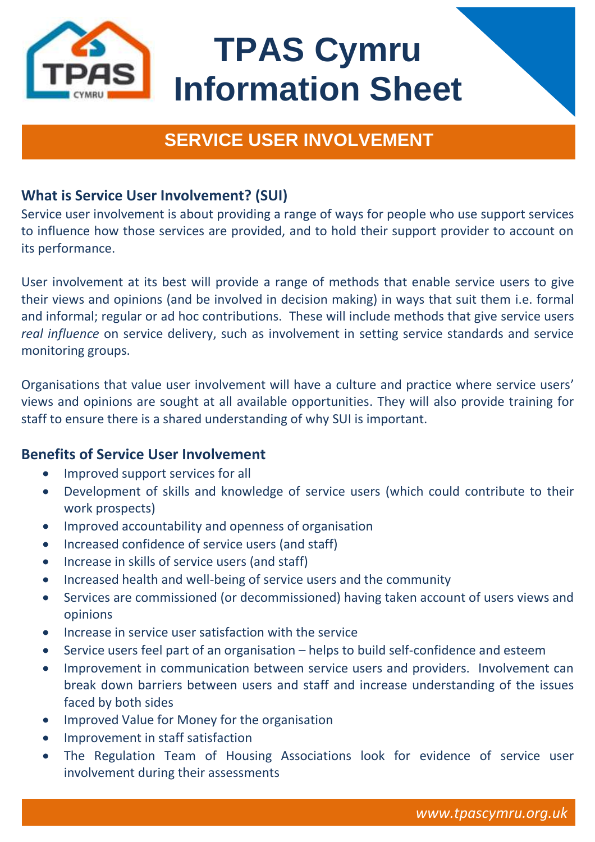

# **TPAS Cymru Information Sheet**

# **SERVICE USER INVOLVEMENT**

# **What is Service User Involvement? (SUI)**

Service user involvement is about providing a range of ways for people who use support services to influence how those services are provided, and to hold their support provider to account on its performance.

User involvement at its best will provide a range of methods that enable service users to give their views and opinions (and be involved in decision making) in ways that suit them i.e. formal and informal; regular or ad hoc contributions. These will include methods that give service users *real influence* on service delivery, such as involvement in setting service standards and service monitoring groups.

Organisations that value user involvement will have a culture and practice where service users' views and opinions are sought at all available opportunities. They will also provide training for staff to ensure there is a shared understanding of why SUI is important.

## **Benefits of Service User Involvement**

- Improved support services for all
- Development of skills and knowledge of service users (which could contribute to their work prospects)
- Improved accountability and openness of organisation
- Increased confidence of service users (and staff)
- Increase in skills of service users (and staff)
- Increased health and well-being of service users and the community
- Services are commissioned (or decommissioned) having taken account of users views and opinions
- Increase in service user satisfaction with the service
- Service users feel part of an organisation helps to build self-confidence and esteem
- Improvement in communication between service users and providers. Involvement can break down barriers between users and staff and increase understanding of the issues faced by both sides
- Improved Value for Money for the organisation
- Improvement in staff satisfaction
- The Regulation Team of Housing Associations look for evidence of service user involvement during their assessments

**www.tpascymru.org.uk**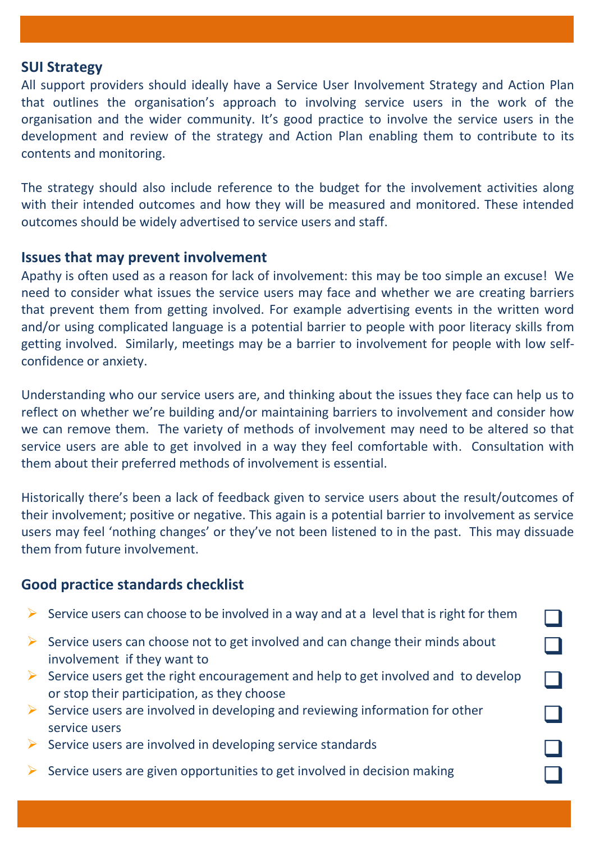#### **SUI Strategy**

All support providers should ideally have a Service User Involvement Strategy and Action Plan that outlines the organisation's approach to involving service users in the work of the organisation and the wider community. It's good practice to involve the service users in the development and review of the strategy and Action Plan enabling them to contribute to its contents and monitoring.

The strategy should also include reference to the budget for the involvement activities along with their intended outcomes and how they will be measured and monitored. These intended outcomes should be widely advertised to service users and staff.

#### **Issues that may prevent involvement**

Apathy is often used as a reason for lack of involvement: this may be too simple an excuse! We need to consider what issues the service users may face and whether we are creating barriers that prevent them from getting involved. For example advertising events in the written word and/or using complicated language is a potential barrier to people with poor literacy skills from getting involved. Similarly, meetings may be a barrier to involvement for people with low selfconfidence or anxiety.

Understanding who our service users are, and thinking about the issues they face can help us to reflect on whether we're building and/or maintaining barriers to involvement and consider how we can remove them. The variety of methods of involvement may need to be altered so that service users are able to get involved in a way they feel comfortable with. Consultation with them about their preferred methods of involvement is essential.

Historically there's been a lack of feedback given to service users about the result/outcomes of their involvement; positive or negative. This again is a potential barrier to involvement as service users may feel 'nothing changes' or they've not been listened to in the past. This may dissuade them from future involvement.

### **Good practice standards checklist**

|   | Service users can choose to be involved in a way and at a level that is right for them                                           |  |
|---|----------------------------------------------------------------------------------------------------------------------------------|--|
|   | Service users can choose not to get involved and can change their minds about<br>involvement if they want to                     |  |
| ➤ | Service users get the right encouragement and help to get involved and to develop<br>or stop their participation, as they choose |  |
| ➤ | Service users are involved in developing and reviewing information for other<br>service users                                    |  |
|   | Service users are involved in developing service standards                                                                       |  |
|   | Service users are given opportunities to get involved in decision making                                                         |  |